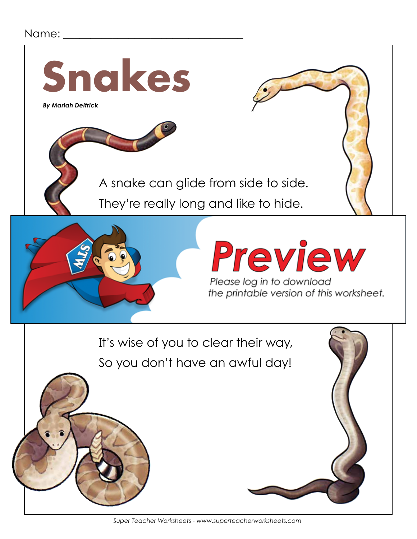### Name:

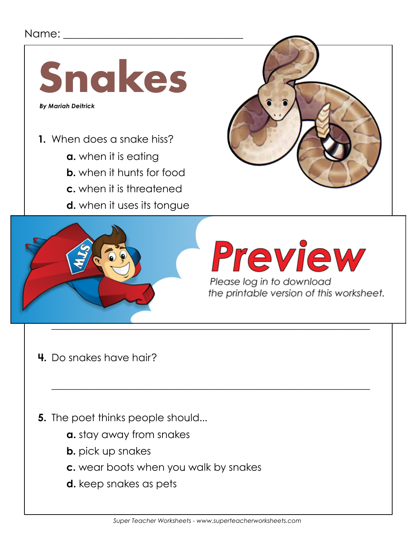## Name: \_\_\_\_\_



- **1.** When does a snake hiss?
	- **a.** when it is eating
	- **b.** when it hunts for food
	- **c.** when it is threatened
	- **d.** when it uses its tongue





- **4.** Do snakes have hair?
- **5.** The poet thinks people should...
	- **a.** stay away from snakes
	- **b.** pick up snakes
	- **c.** wear boots when you walk by snakes
	- **d.** keep snakes as pets

\_\_\_\_\_\_\_\_\_\_\_\_\_\_\_\_\_\_\_\_\_\_\_\_\_\_\_\_\_\_\_\_\_\_\_\_\_\_\_\_\_\_\_\_\_\_\_\_\_\_\_\_\_\_\_\_\_\_\_\_\_\_\_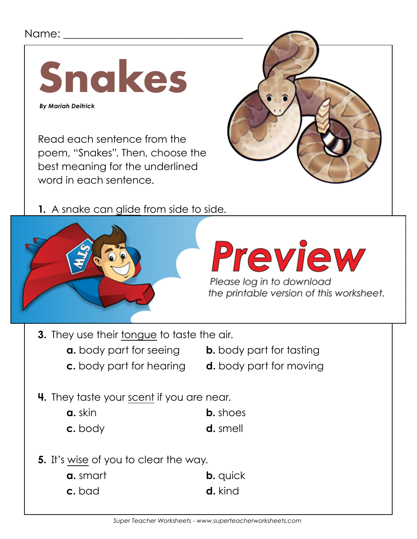## Name: \_



Read each sentence from the poem, "Snakes". Then, choose the best meaning for the underlined word in each sentence.







Please log in to download<br>the printable version of this worksheet.

**3.** They use their tongue to taste the air.

**a.** body part for seeing **b.** body part for tasting

- **c.** body part for hearing **d.** body part for moving
- 
- 
- **4.** They taste your scent if you are near.
	- **a.** skin **b.** shoes
	- **c.** body **d.** smell
- **5.** It's wise of you to clear the way.
	- **a.** smart **b.** quick **c.** bad **d.** kind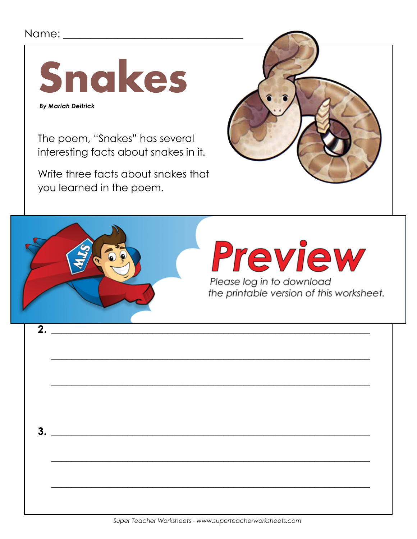## 



**By Mariah Deitrick** 

The poem, "Snakes" has several interesting facts about snakes in it.

Write three facts about snakes that you learned in the poem.



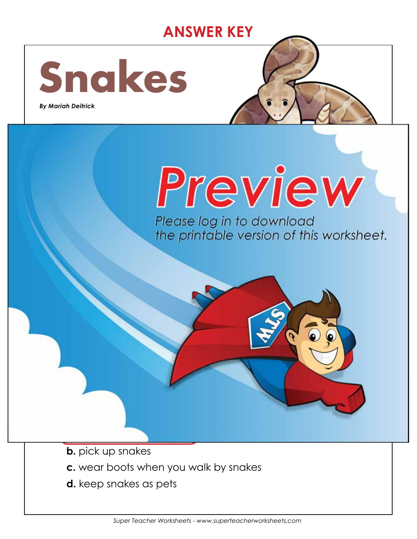# **ANSWER KEY**

 $\mathcal{L}_\mathcal{L}$  , and the set of the set of the set of the set of the set of the set of the set of the set of the set

 $\Box$ 

 $\mathcal{L} = \{ \mathcal{L} \mid \mathcal{L} \in \mathcal{L} \}$ 



 *By Mariah Deitrick*



## **b.** when it hunts for food **c. when it is threatened d.** when it uses its tongue Please log in to download

the printable version of this worksheet.

**b.** pick up snakes

**a. stay away from snakes**

**3.** Do snakes have bones?

**They use their tongue.**

**Yes, they have bones.**

**4.** Do snakes have hair?

- **c.** wear boots when you walk by snakes
- **d.** keep snakes as pets

**5.** The poet thinks people should...

**No, they do not have hair.**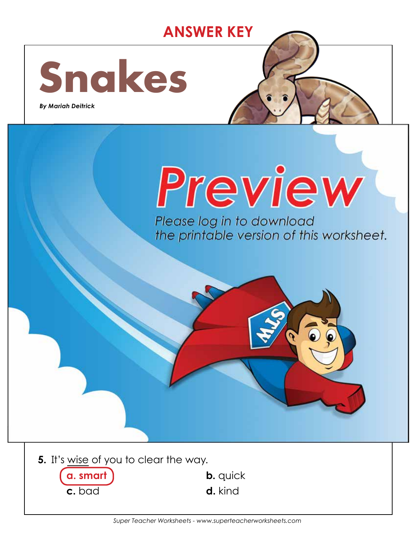# **ANSWER KEY**



best meaning for the underlined

**2.** They have long backbones, but no hair.

**b. b.** heads **b.** heads **b.** heads **b.** heads **b.** heads **b.** heads **b.** heads **b.** heads **b.** heads **b.** heads **b.** heads **b.** heads **b.** heads **b.** heads **b.** heads **b.** heads **b.** heads **b.** heads **b.** heads **b.** hea

**c. d.** spinese **d.** spinese **d.** spinese in the spinese of the spinese of the spinese

**3.** They use their tongue to taste the air.

**4.** They taste your scent if you are near.

**a.** skin **b.** shoes

**c. d. smell d. smell d. smell d. smell** 

**a.** body part for seeing **b. body part for tasting**

**c.** body part for hearing **d.** body part for moving

 *By Mariah Deitrick*



word in each sentence. **1.** A snake can glide from side to side. **Please log in to download** the printable version of this worksheet.



 **a. smart b.** quick **c.** bad **d.** kind